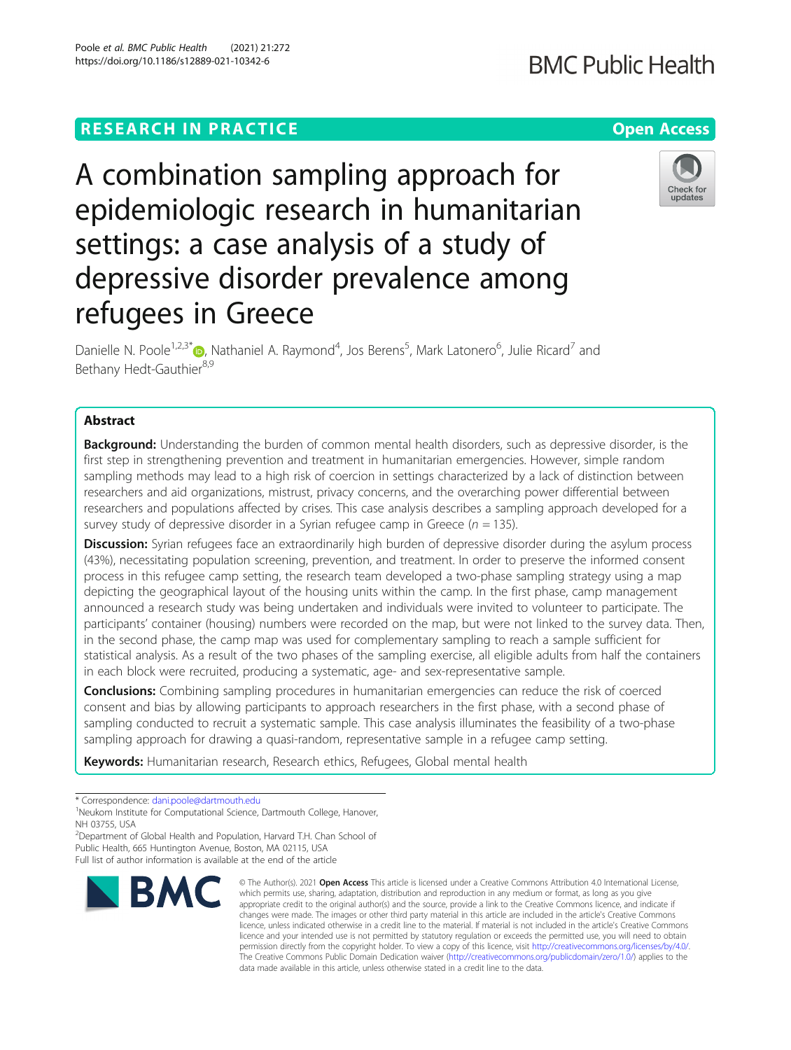# **RESEARCH IN PRACTICE Example 20 and 20 and 20 and 20 and 20 and 20 and 20 and 20 and 20 and 20 and 20 and 20 and 20 and 20 and 20 and 20 and 20 and 20 and 20 and 20 and 20 and 20 and 20 and 20 and 20 and 20 and 20 and 2**

# A combination sampling approach for epidemiologic research in humanitarian settings: a case analysis of a study of depressive disorder prevalence among refugees in Greece

Danielle N. Poole<sup>1,2,3[\\*](http://orcid.org/0000-0002-9845-3571)</sup>®, Nathaniel A. Raymond<sup>4</sup>, Jos Berens<sup>5</sup>, Mark Latonero<sup>6</sup>, Julie Ricard<sup>7</sup> and Bethany Hedt-Gauthier<sup>8,9</sup>

## Abstract

**Background:** Understanding the burden of common mental health disorders, such as depressive disorder, is the first step in strengthening prevention and treatment in humanitarian emergencies. However, simple random sampling methods may lead to a high risk of coercion in settings characterized by a lack of distinction between researchers and aid organizations, mistrust, privacy concerns, and the overarching power differential between researchers and populations affected by crises. This case analysis describes a sampling approach developed for a survey study of depressive disorder in a Syrian refugee camp in Greece ( $n = 135$ ).

Discussion: Syrian refugees face an extraordinarily high burden of depressive disorder during the asylum process (43%), necessitating population screening, prevention, and treatment. In order to preserve the informed consent process in this refugee camp setting, the research team developed a two-phase sampling strategy using a map depicting the geographical layout of the housing units within the camp. In the first phase, camp management announced a research study was being undertaken and individuals were invited to volunteer to participate. The participants' container (housing) numbers were recorded on the map, but were not linked to the survey data. Then, in the second phase, the camp map was used for complementary sampling to reach a sample sufficient for statistical analysis. As a result of the two phases of the sampling exercise, all eligible adults from half the containers in each block were recruited, producing a systematic, age- and sex-representative sample.

**Conclusions:** Combining sampling procedures in humanitarian emergencies can reduce the risk of coerced consent and bias by allowing participants to approach researchers in the first phase, with a second phase of sampling conducted to recruit a systematic sample. This case analysis illuminates the feasibility of a two-phase sampling approach for drawing a quasi-random, representative sample in a refugee camp setting.

data made available in this article, unless otherwise stated in a credit line to the data.

which permits use, sharing, adaptation, distribution and reproduction in any medium or format, as long as you give

The Creative Commons Public Domain Dedication waiver [\(http://creativecommons.org/publicdomain/zero/1.0/](http://creativecommons.org/publicdomain/zero/1.0/)) applies to the

Keywords: Humanitarian research, Research ethics, Refugees, Global mental health

© The Author(s), 2021 **Open Access** This article is licensed under a Creative Commons Attribution 4.0 International License, **BMC** 





<sup>\*</sup> Correspondence: [dani.poole@dartmouth.edu](mailto:dani.poole@dartmouth.edu) <sup>1</sup>

<sup>&</sup>lt;sup>1</sup>Neukom Institute for Computational Science, Dartmouth College, Hanover, NH 03755, USA

<sup>&</sup>lt;sup>2</sup>Department of Global Health and Population, Harvard T.H. Chan School of Public Health, 665 Huntington Avenue, Boston, MA 02115, USA Full list of author information is available at the end of the article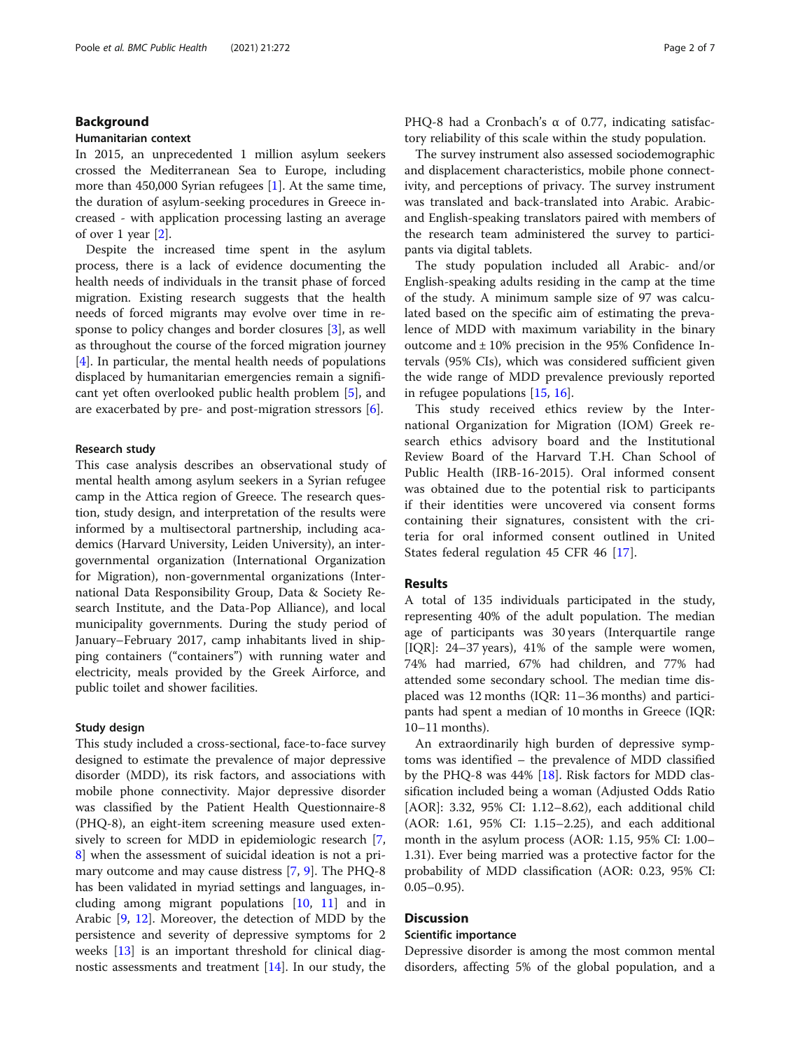## Background

#### Humanitarian context

In 2015, an unprecedented 1 million asylum seekers crossed the Mediterranean Sea to Europe, including more than 450,000 Syrian refugees [[1](#page-5-0)]. At the same time, the duration of asylum-seeking procedures in Greece increased - with application processing lasting an average of over 1 year [\[2\]](#page-5-0).

Despite the increased time spent in the asylum process, there is a lack of evidence documenting the health needs of individuals in the transit phase of forced migration. Existing research suggests that the health needs of forced migrants may evolve over time in response to policy changes and border closures [[3](#page-5-0)], as well as throughout the course of the forced migration journey [[4\]](#page-5-0). In particular, the mental health needs of populations displaced by humanitarian emergencies remain a significant yet often overlooked public health problem [\[5](#page-5-0)], and are exacerbated by pre- and post-migration stressors [[6](#page-5-0)].

## Research study

This case analysis describes an observational study of mental health among asylum seekers in a Syrian refugee camp in the Attica region of Greece. The research question, study design, and interpretation of the results were informed by a multisectoral partnership, including academics (Harvard University, Leiden University), an intergovernmental organization (International Organization for Migration), non-governmental organizations (International Data Responsibility Group, Data & Society Research Institute, and the Data-Pop Alliance), and local municipality governments. During the study period of January–February 2017, camp inhabitants lived in shipping containers ("containers") with running water and electricity, meals provided by the Greek Airforce, and public toilet and shower facilities.

## Study design

This study included a cross-sectional, face-to-face survey designed to estimate the prevalence of major depressive disorder (MDD), its risk factors, and associations with mobile phone connectivity. Major depressive disorder was classified by the Patient Health Questionnaire-8 (PHQ-8), an eight-item screening measure used extensively to screen for MDD in epidemiologic research [\[7](#page-5-0), [8\]](#page-5-0) when the assessment of suicidal ideation is not a primary outcome and may cause distress [[7,](#page-5-0) [9\]](#page-5-0). The PHQ-8 has been validated in myriad settings and languages, including among migrant populations [\[10](#page-5-0), [11\]](#page-5-0) and in Arabic [[9,](#page-5-0) [12\]](#page-5-0). Moreover, the detection of MDD by the persistence and severity of depressive symptoms for 2 weeks [[13\]](#page-5-0) is an important threshold for clinical diagnostic assessments and treatment [[14\]](#page-5-0). In our study, the PHQ-8 had a Cronbach's α of 0.77, indicating satisfactory reliability of this scale within the study population.

The survey instrument also assessed sociodemographic and displacement characteristics, mobile phone connectivity, and perceptions of privacy. The survey instrument was translated and back-translated into Arabic. Arabicand English-speaking translators paired with members of the research team administered the survey to participants via digital tablets.

The study population included all Arabic- and/or English-speaking adults residing in the camp at the time of the study. A minimum sample size of 97 was calculated based on the specific aim of estimating the prevalence of MDD with maximum variability in the binary outcome and  $\pm$  10% precision in the 95% Confidence Intervals (95% CIs), which was considered sufficient given the wide range of MDD prevalence previously reported in refugee populations [\[15](#page-5-0), [16](#page-5-0)].

This study received ethics review by the International Organization for Migration (IOM) Greek research ethics advisory board and the Institutional Review Board of the Harvard T.H. Chan School of Public Health (IRB-16-2015). Oral informed consent was obtained due to the potential risk to participants if their identities were uncovered via consent forms containing their signatures, consistent with the criteria for oral informed consent outlined in United States federal regulation 45 CFR 46 [\[17](#page-5-0)].

#### Results

A total of 135 individuals participated in the study, representing 40% of the adult population. The median age of participants was 30 years (Interquartile range [IQR]: 24–37 years), 41% of the sample were women, 74% had married, 67% had children, and 77% had attended some secondary school. The median time displaced was 12 months (IQR: 11–36 months) and participants had spent a median of 10 months in Greece (IQR: 10–11 months).

An extraordinarily high burden of depressive symptoms was identified – the prevalence of MDD classified by the PHQ-8 was  $44\%$  [\[18\]](#page-5-0). Risk factors for MDD classification included being a woman (Adjusted Odds Ratio [AOR]: 3.32, 95% CI: 1.12–8.62), each additional child (AOR: 1.61, 95% CI: 1.15–2.25), and each additional month in the asylum process (AOR: 1.15, 95% CI: 1.00– 1.31). Ever being married was a protective factor for the probability of MDD classification (AOR: 0.23, 95% CI:  $0.05-0.95$ ).

## Discussion

## Scientific importance

Depressive disorder is among the most common mental disorders, affecting 5% of the global population, and a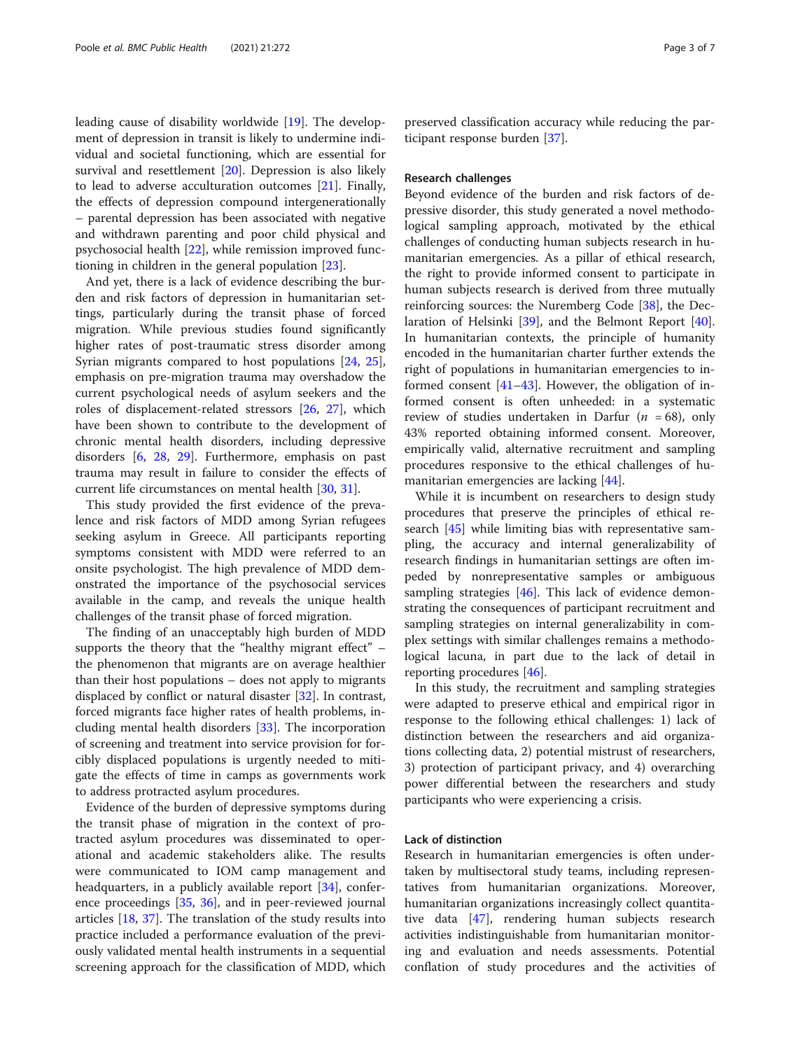leading cause of disability worldwide [[19\]](#page-5-0). The development of depression in transit is likely to undermine individual and societal functioning, which are essential for survival and resettlement [[20](#page-5-0)]. Depression is also likely to lead to adverse acculturation outcomes [\[21\]](#page-5-0). Finally, the effects of depression compound intergenerationally – parental depression has been associated with negative and withdrawn parenting and poor child physical and psychosocial health [[22\]](#page-6-0), while remission improved functioning in children in the general population [\[23](#page-6-0)].

And yet, there is a lack of evidence describing the burden and risk factors of depression in humanitarian settings, particularly during the transit phase of forced migration. While previous studies found significantly higher rates of post-traumatic stress disorder among Syrian migrants compared to host populations [\[24](#page-6-0), [25](#page-6-0)], emphasis on pre-migration trauma may overshadow the current psychological needs of asylum seekers and the roles of displacement-related stressors [[26](#page-6-0), [27\]](#page-6-0), which have been shown to contribute to the development of chronic mental health disorders, including depressive disorders [[6,](#page-5-0) [28,](#page-6-0) [29](#page-6-0)]. Furthermore, emphasis on past trauma may result in failure to consider the effects of current life circumstances on mental health [[30](#page-6-0), [31](#page-6-0)].

This study provided the first evidence of the prevalence and risk factors of MDD among Syrian refugees seeking asylum in Greece. All participants reporting symptoms consistent with MDD were referred to an onsite psychologist. The high prevalence of MDD demonstrated the importance of the psychosocial services available in the camp, and reveals the unique health challenges of the transit phase of forced migration.

The finding of an unacceptably high burden of MDD supports the theory that the "healthy migrant effect" – the phenomenon that migrants are on average healthier than their host populations – does not apply to migrants displaced by conflict or natural disaster [\[32\]](#page-6-0). In contrast, forced migrants face higher rates of health problems, including mental health disorders [[33\]](#page-6-0). The incorporation of screening and treatment into service provision for forcibly displaced populations is urgently needed to mitigate the effects of time in camps as governments work to address protracted asylum procedures.

Evidence of the burden of depressive symptoms during the transit phase of migration in the context of protracted asylum procedures was disseminated to operational and academic stakeholders alike. The results were communicated to IOM camp management and headquarters, in a publicly available report [\[34](#page-6-0)], conference proceedings [\[35,](#page-6-0) [36\]](#page-6-0), and in peer-reviewed journal articles [[18,](#page-5-0) [37](#page-6-0)]. The translation of the study results into practice included a performance evaluation of the previously validated mental health instruments in a sequential screening approach for the classification of MDD, which

preserved classification accuracy while reducing the participant response burden [[37](#page-6-0)].

#### Research challenges

Beyond evidence of the burden and risk factors of depressive disorder, this study generated a novel methodological sampling approach, motivated by the ethical challenges of conducting human subjects research in humanitarian emergencies. As a pillar of ethical research, the right to provide informed consent to participate in human subjects research is derived from three mutually reinforcing sources: the Nuremberg Code [\[38\]](#page-6-0), the Declaration of Helsinki [[39](#page-6-0)], and the Belmont Report [\[40](#page-6-0)]. In humanitarian contexts, the principle of humanity encoded in the humanitarian charter further extends the right of populations in humanitarian emergencies to informed consent  $[41-43]$  $[41-43]$  $[41-43]$  $[41-43]$  $[41-43]$ . However, the obligation of informed consent is often unheeded: in a systematic review of studies undertaken in Darfur ( $n = 68$ ), only 43% reported obtaining informed consent. Moreover, empirically valid, alternative recruitment and sampling procedures responsive to the ethical challenges of humanitarian emergencies are lacking [[44](#page-6-0)].

While it is incumbent on researchers to design study procedures that preserve the principles of ethical research [[45\]](#page-6-0) while limiting bias with representative sampling, the accuracy and internal generalizability of research findings in humanitarian settings are often impeded by nonrepresentative samples or ambiguous sampling strategies [[46](#page-6-0)]. This lack of evidence demonstrating the consequences of participant recruitment and sampling strategies on internal generalizability in complex settings with similar challenges remains a methodological lacuna, in part due to the lack of detail in reporting procedures [[46\]](#page-6-0).

In this study, the recruitment and sampling strategies were adapted to preserve ethical and empirical rigor in response to the following ethical challenges: 1) lack of distinction between the researchers and aid organizations collecting data, 2) potential mistrust of researchers, 3) protection of participant privacy, and 4) overarching power differential between the researchers and study participants who were experiencing a crisis.

## Lack of distinction

Research in humanitarian emergencies is often undertaken by multisectoral study teams, including representatives from humanitarian organizations. Moreover, humanitarian organizations increasingly collect quantitative data [\[47\]](#page-6-0), rendering human subjects research activities indistinguishable from humanitarian monitoring and evaluation and needs assessments. Potential conflation of study procedures and the activities of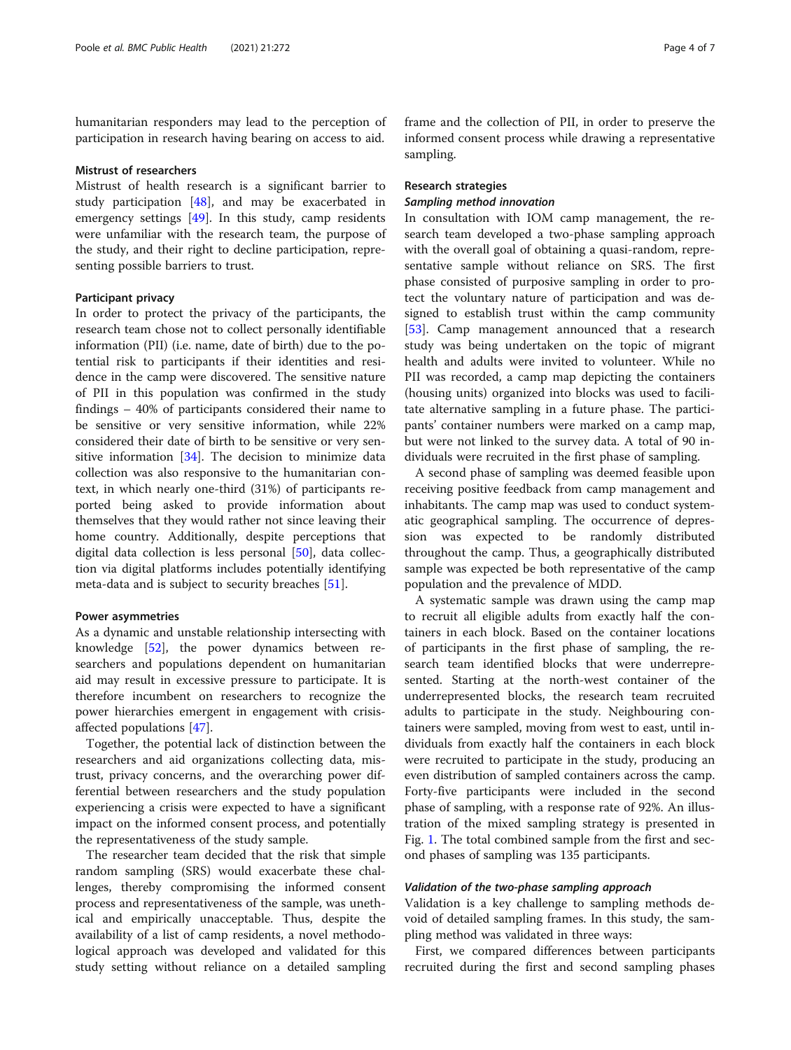humanitarian responders may lead to the perception of participation in research having bearing on access to aid.

#### Mistrust of researchers

Mistrust of health research is a significant barrier to study participation [\[48\]](#page-6-0), and may be exacerbated in emergency settings [[49](#page-6-0)]. In this study, camp residents were unfamiliar with the research team, the purpose of the study, and their right to decline participation, representing possible barriers to trust.

## Participant privacy

In order to protect the privacy of the participants, the research team chose not to collect personally identifiable information (PII) (i.e. name, date of birth) due to the potential risk to participants if their identities and residence in the camp were discovered. The sensitive nature of PII in this population was confirmed in the study findings – 40% of participants considered their name to be sensitive or very sensitive information, while 22% considered their date of birth to be sensitive or very sensitive information [[34](#page-6-0)]. The decision to minimize data collection was also responsive to the humanitarian context, in which nearly one-third (31%) of participants reported being asked to provide information about themselves that they would rather not since leaving their home country. Additionally, despite perceptions that digital data collection is less personal [[50\]](#page-6-0), data collection via digital platforms includes potentially identifying meta-data and is subject to security breaches [[51\]](#page-6-0).

#### Power asymmetries

As a dynamic and unstable relationship intersecting with knowledge [[52\]](#page-6-0), the power dynamics between researchers and populations dependent on humanitarian aid may result in excessive pressure to participate. It is therefore incumbent on researchers to recognize the power hierarchies emergent in engagement with crisisaffected populations [\[47](#page-6-0)].

Together, the potential lack of distinction between the researchers and aid organizations collecting data, mistrust, privacy concerns, and the overarching power differential between researchers and the study population experiencing a crisis were expected to have a significant impact on the informed consent process, and potentially the representativeness of the study sample.

The researcher team decided that the risk that simple random sampling (SRS) would exacerbate these challenges, thereby compromising the informed consent process and representativeness of the sample, was unethical and empirically unacceptable. Thus, despite the availability of a list of camp residents, a novel methodological approach was developed and validated for this study setting without reliance on a detailed sampling

frame and the collection of PII, in order to preserve the informed consent process while drawing a representative sampling.

## Research strategies

## Sampling method innovation

In consultation with IOM camp management, the research team developed a two-phase sampling approach with the overall goal of obtaining a quasi-random, representative sample without reliance on SRS. The first phase consisted of purposive sampling in order to protect the voluntary nature of participation and was designed to establish trust within the camp community [[53\]](#page-6-0). Camp management announced that a research study was being undertaken on the topic of migrant health and adults were invited to volunteer. While no PII was recorded, a camp map depicting the containers (housing units) organized into blocks was used to facilitate alternative sampling in a future phase. The participants' container numbers were marked on a camp map, but were not linked to the survey data. A total of 90 individuals were recruited in the first phase of sampling.

A second phase of sampling was deemed feasible upon receiving positive feedback from camp management and inhabitants. The camp map was used to conduct systematic geographical sampling. The occurrence of depression was expected to be randomly distributed throughout the camp. Thus, a geographically distributed sample was expected be both representative of the camp population and the prevalence of MDD.

A systematic sample was drawn using the camp map to recruit all eligible adults from exactly half the containers in each block. Based on the container locations of participants in the first phase of sampling, the research team identified blocks that were underrepresented. Starting at the north-west container of the underrepresented blocks, the research team recruited adults to participate in the study. Neighbouring containers were sampled, moving from west to east, until individuals from exactly half the containers in each block were recruited to participate in the study, producing an even distribution of sampled containers across the camp. Forty-five participants were included in the second phase of sampling, with a response rate of 92%. An illustration of the mixed sampling strategy is presented in Fig. [1](#page-4-0). The total combined sample from the first and second phases of sampling was 135 participants.

#### Validation of the two-phase sampling approach

Validation is a key challenge to sampling methods devoid of detailed sampling frames. In this study, the sampling method was validated in three ways:

First, we compared differences between participants recruited during the first and second sampling phases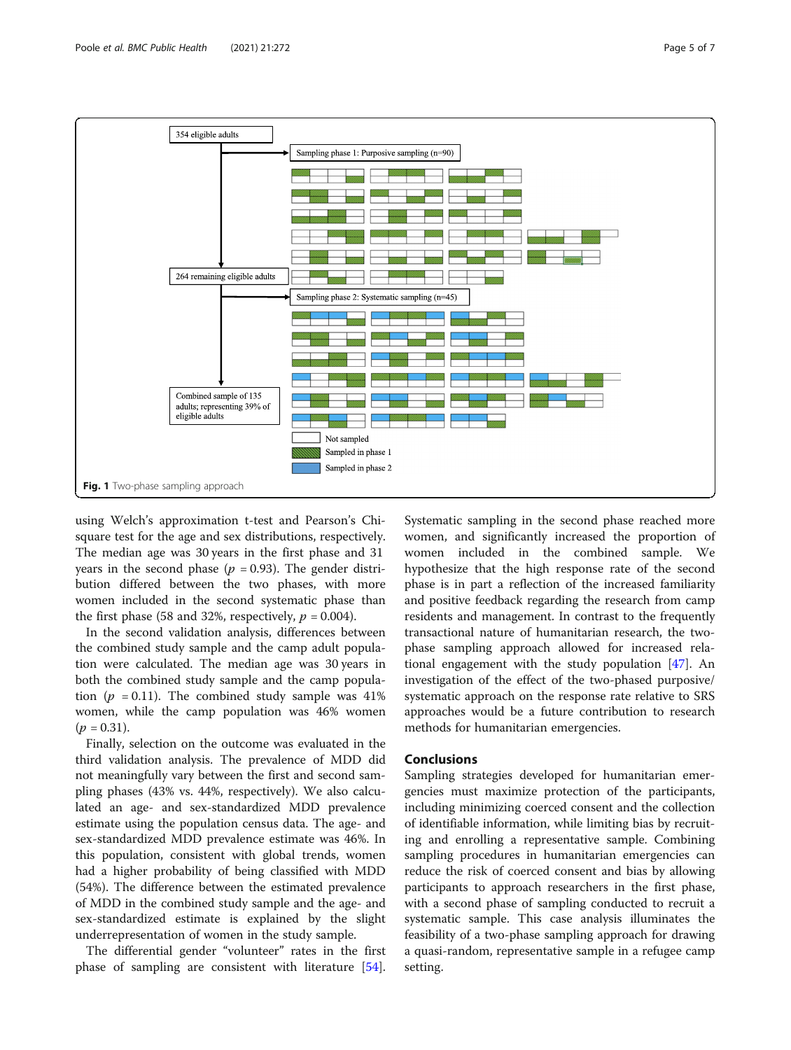<span id="page-4-0"></span>

using Welch's approximation t-test and Pearson's Chisquare test for the age and sex distributions, respectively. The median age was 30 years in the first phase and 31 years in the second phase ( $p = 0.93$ ). The gender distribution differed between the two phases, with more women included in the second systematic phase than the first phase (58 and 32%, respectively,  $p = 0.004$ ).

In the second validation analysis, differences between the combined study sample and the camp adult population were calculated. The median age was 30 years in both the combined study sample and the camp population ( $p = 0.11$ ). The combined study sample was 41% women, while the camp population was 46% women  $(p = 0.31)$ .

Finally, selection on the outcome was evaluated in the third validation analysis. The prevalence of MDD did not meaningfully vary between the first and second sampling phases (43% vs. 44%, respectively). We also calculated an age- and sex-standardized MDD prevalence estimate using the population census data. The age- and sex-standardized MDD prevalence estimate was 46%. In this population, consistent with global trends, women had a higher probability of being classified with MDD (54%). The difference between the estimated prevalence of MDD in the combined study sample and the age- and sex-standardized estimate is explained by the slight underrepresentation of women in the study sample.

The differential gender "volunteer" rates in the first phase of sampling are consistent with literature [\[54](#page-6-0)].

Systematic sampling in the second phase reached more women, and significantly increased the proportion of women included in the combined sample. We hypothesize that the high response rate of the second phase is in part a reflection of the increased familiarity and positive feedback regarding the research from camp residents and management. In contrast to the frequently transactional nature of humanitarian research, the twophase sampling approach allowed for increased relational engagement with the study population [\[47](#page-6-0)]. An investigation of the effect of the two-phased purposive/ systematic approach on the response rate relative to SRS approaches would be a future contribution to research methods for humanitarian emergencies.

## Conclusions

Sampling strategies developed for humanitarian emergencies must maximize protection of the participants, including minimizing coerced consent and the collection of identifiable information, while limiting bias by recruiting and enrolling a representative sample. Combining sampling procedures in humanitarian emergencies can reduce the risk of coerced consent and bias by allowing participants to approach researchers in the first phase, with a second phase of sampling conducted to recruit a systematic sample. This case analysis illuminates the feasibility of a two-phase sampling approach for drawing a quasi-random, representative sample in a refugee camp setting.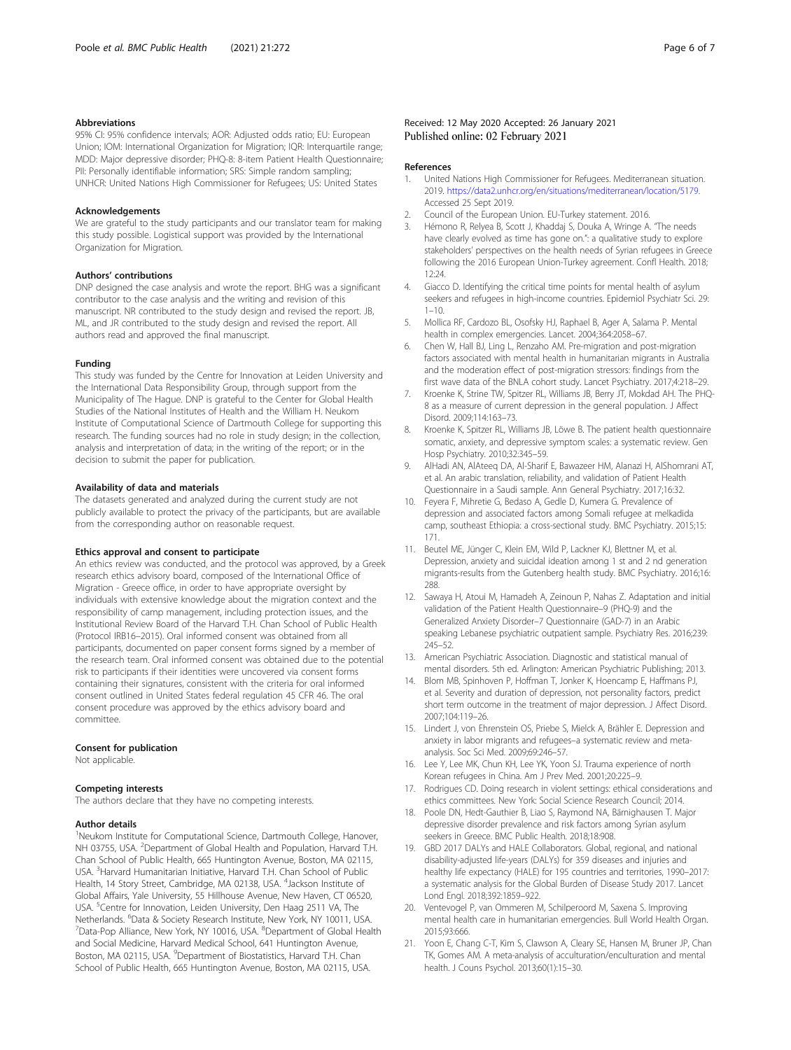#### <span id="page-5-0"></span>Abbreviations

95% CI: 95% confidence intervals; AOR: Adjusted odds ratio; EU: European Union; IOM: International Organization for Migration; IQR: Interquartile range; MDD: Major depressive disorder; PHQ-8: 8-item Patient Health Questionnaire; PII: Personally identifiable information; SRS: Simple random sampling; UNHCR: United Nations High Commissioner for Refugees; US: United States

#### Acknowledgements

We are grateful to the study participants and our translator team for making this study possible. Logistical support was provided by the International Organization for Migration.

#### Authors' contributions

DNP designed the case analysis and wrote the report. BHG was a significant contributor to the case analysis and the writing and revision of this manuscript. NR contributed to the study design and revised the report. JB, ML, and JR contributed to the study design and revised the report. All authors read and approved the final manuscript.

#### Funding

This study was funded by the Centre for Innovation at Leiden University and the International Data Responsibility Group, through support from the Municipality of The Hague. DNP is grateful to the Center for Global Health Studies of the National Institutes of Health and the William H. Neukom Institute of Computational Science of Dartmouth College for supporting this research. The funding sources had no role in study design; in the collection, analysis and interpretation of data; in the writing of the report; or in the decision to submit the paper for publication.

#### Availability of data and materials

The datasets generated and analyzed during the current study are not publicly available to protect the privacy of the participants, but are available from the corresponding author on reasonable request.

#### Ethics approval and consent to participate

An ethics review was conducted, and the protocol was approved, by a Greek research ethics advisory board, composed of the International Office of Migration - Greece office, in order to have appropriate oversight by individuals with extensive knowledge about the migration context and the responsibility of camp management, including protection issues, and the Institutional Review Board of the Harvard T.H. Chan School of Public Health (Protocol IRB16–2015). Oral informed consent was obtained from all participants, documented on paper consent forms signed by a member of the research team. Oral informed consent was obtained due to the potential risk to participants if their identities were uncovered via consent forms containing their signatures, consistent with the criteria for oral informed consent outlined in United States federal regulation 45 CFR 46. The oral consent procedure was approved by the ethics advisory board and committee.

#### Consent for publication

Not applicable.

#### Competing interests

The authors declare that they have no competing interests.

#### Author details

<sup>1</sup>Neukom Institute for Computational Science, Dartmouth College, Hanover, NH 03755, USA. <sup>2</sup>Department of Global Health and Population, Harvard T.H. Chan School of Public Health, 665 Huntington Avenue, Boston, MA 02115, USA. <sup>3</sup> Harvard Humanitarian Initiative, Harvard T.H. Chan School of Public Health, 14 Story Street, Cambridge, MA 02138, USA. <sup>4</sup>Jackson Institute of Global Affairs, Yale University, 55 Hillhouse Avenue, New Haven, CT 06520, USA. <sup>5</sup>Centre for Innovation, Leiden University, Den Haag 2511 VA, The Netherlands. <sup>6</sup>Data & Society Research Institute, New York, NY 10011, USA.<br><sup>7</sup>Data Bon Alliance Now York, NY 10016, USA. <sup>8</sup>Dapartment of Global Hoa Data-Pop Alliance, New York, NY 10016, USA. <sup>8</sup>Department of Global Health and Social Medicine, Harvard Medical School, 641 Huntington Avenue, Boston, MA 02115, USA. <sup>9</sup>Department of Biostatistics, Harvard T.H. Chan School of Public Health, 665 Huntington Avenue, Boston, MA 02115, USA.

#### Received: 12 May 2020 Accepted: 26 January 2021 Published online: 02 February 2021

#### References

- 1. United Nations High Commissioner for Refugees. Mediterranean situation. 2019. <https://data2.unhcr.org/en/situations/mediterranean/location/5179>. Accessed 25 Sept 2019.
- 2. Council of the European Union. EU-Turkey statement. 2016.
- 3. Hémono R, Relyea B, Scott J, Khaddaj S, Douka A, Wringe A. "The needs have clearly evolved as time has gone on.": a qualitative study to explore stakeholders' perspectives on the health needs of Syrian refugees in Greece following the 2016 European Union-Turkey agreement. Confl Health. 2018;  $12.24$
- 4. Giacco D. Identifying the critical time points for mental health of asylum seekers and refugees in high-income countries. Epidemiol Psychiatr Sci. 29:  $1 - 10$ .
- 5. Mollica RF, Cardozo BL, Osofsky HJ, Raphael B, Ager A, Salama P. Mental health in complex emergencies. Lancet. 2004;364:2058–67.
- 6. Chen W, Hall BJ, Ling L, Renzaho AM. Pre-migration and post-migration factors associated with mental health in humanitarian migrants in Australia and the moderation effect of post-migration stressors: findings from the first wave data of the BNLA cohort study. Lancet Psychiatry. 2017;4:218–29.
- 7. Kroenke K, Strine TW, Spitzer RL, Williams JB, Berry JT, Mokdad AH. The PHQ-8 as a measure of current depression in the general population. J Affect Disord. 2009;114:163–73.
- 8. Kroenke K, Spitzer RL, Williams JB, Löwe B. The patient health questionnaire somatic, anxiety, and depressive symptom scales: a systematic review. Gen Hosp Psychiatry. 2010;32:345–59.
- 9. AlHadi AN, AlAteeq DA, Al-Sharif E, Bawazeer HM, Alanazi H, AlShomrani AT, et al. An arabic translation, reliability, and validation of Patient Health Questionnaire in a Saudi sample. Ann General Psychiatry. 2017;16:32.
- 10. Feyera F, Mihretie G, Bedaso A, Gedle D, Kumera G. Prevalence of depression and associated factors among Somali refugee at melkadida camp, southeast Ethiopia: a cross-sectional study. BMC Psychiatry. 2015;15: 171.
- 11. Beutel ME, Jünger C, Klein EM, Wild P, Lackner KJ, Blettner M, et al. Depression, anxiety and suicidal ideation among 1 st and 2 nd generation migrants-results from the Gutenberg health study. BMC Psychiatry. 2016;16: 288
- 12. Sawaya H, Atoui M, Hamadeh A, Zeinoun P, Nahas Z. Adaptation and initial validation of the Patient Health Questionnaire–9 (PHQ-9) and the Generalized Anxiety Disorder–7 Questionnaire (GAD-7) in an Arabic speaking Lebanese psychiatric outpatient sample. Psychiatry Res. 2016;239: 245–52.
- 13. American Psychiatric Association. Diagnostic and statistical manual of mental disorders. 5th ed. Arlington: American Psychiatric Publishing; 2013.
- 14. Blom MB, Spinhoven P, Hoffman T, Jonker K, Hoencamp E, Haffmans PJ, et al. Severity and duration of depression, not personality factors, predict short term outcome in the treatment of major depression. J Affect Disord. 2007;104:119–26.
- 15. Lindert J, von Ehrenstein OS, Priebe S, Mielck A, Brähler E. Depression and anxiety in labor migrants and refugees–a systematic review and metaanalysis. Soc Sci Med. 2009;69:246–57.
- 16. Lee Y, Lee MK, Chun KH, Lee YK, Yoon SJ. Trauma experience of north Korean refugees in China. Am J Prev Med. 2001;20:225–9.
- 17. Rodrigues CD. Doing research in violent settings: ethical considerations and ethics committees. New York: Social Science Research Council; 2014.
- 18. Poole DN, Hedt-Gauthier B, Liao S, Raymond NA, Bärnighausen T. Major depressive disorder prevalence and risk factors among Syrian asylum seekers in Greece. BMC Public Health. 2018;18:908.
- 19. GBD 2017 DALYs and HALE Collaborators. Global, regional, and national disability-adjusted life-years (DALYs) for 359 diseases and injuries and healthy life expectancy (HALE) for 195 countries and territories, 1990–2017: a systematic analysis for the Global Burden of Disease Study 2017. Lancet Lond Engl. 2018;392:1859–922.
- 20. Ventevogel P, van Ommeren M, Schilperoord M, Saxena S. Improving mental health care in humanitarian emergencies. Bull World Health Organ. 2015;93:666.
- 21. Yoon E, Chang C-T, Kim S, Clawson A, Cleary SE, Hansen M, Bruner JP, Chan TK, Gomes AM. A meta-analysis of acculturation/enculturation and mental health. J Couns Psychol. 2013;60(1):15–30.